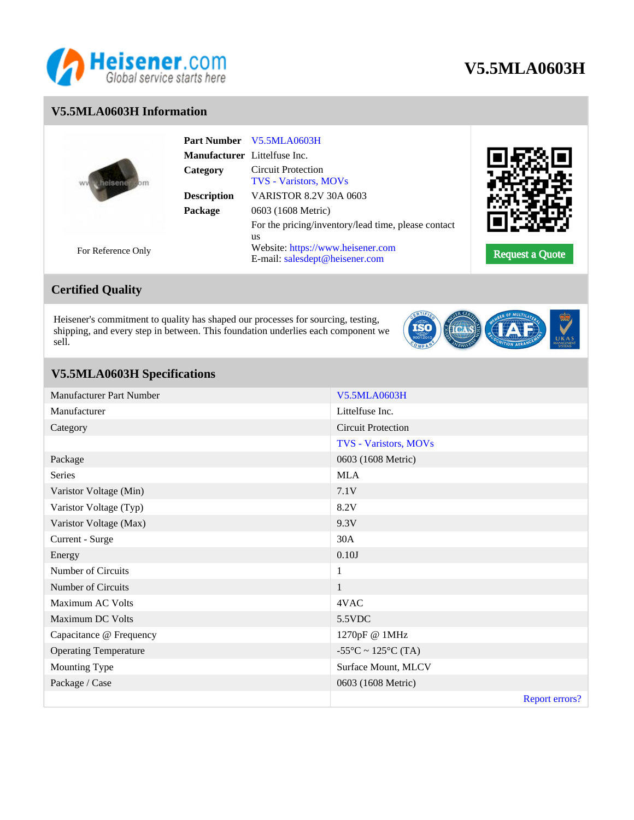

# **V5.5MLA0603H**

### **V5.5MLA0603H Information**

|  |                    | <b>Part Number</b>           | V5.5MLA0603H                                                        |                        |
|--|--------------------|------------------------------|---------------------------------------------------------------------|------------------------|
|  |                    | Manufacturer Littelfuse Inc. |                                                                     |                        |
|  |                    | Category                     | <b>Circuit Protection</b><br><b>TVS - Varistors, MOVs</b>           |                        |
|  |                    | <b>Description</b>           | <b>VARISTOR 8.2V 30A 0603</b>                                       |                        |
|  |                    | Package                      | 0603 (1608 Metric)                                                  |                        |
|  |                    |                              | For the pricing/inventory/lead time, please contact<br>us           |                        |
|  | For Reference Only |                              | Website: https://www.heisener.com<br>E-mail: salesdept@heisener.com | <b>Request a Quote</b> |

# **Certified Quality**

Heisener's commitment to quality has shaped our processes for sourcing, testing, shipping, and every step in between. This foundation underlies each component we sell.



## **V5.5MLA0603H Specifications**

| Manufacturer Part Number     | <b>V5.5MLA0603H</b>                     |
|------------------------------|-----------------------------------------|
| Manufacturer                 | Littelfuse Inc.                         |
| Category                     | <b>Circuit Protection</b>               |
|                              | TVS - Varistors, MOVs                   |
| Package                      | 0603 (1608 Metric)                      |
| Series                       | <b>MLA</b>                              |
| Varistor Voltage (Min)       | 7.1V                                    |
| Varistor Voltage (Typ)       | 8.2V                                    |
| Varistor Voltage (Max)       | 9.3V                                    |
| Current - Surge              | 30A                                     |
| Energy                       | 0.10J                                   |
| Number of Circuits           | $\mathbf{1}$                            |
| Number of Circuits           | $\mathbf{1}$                            |
| Maximum AC Volts             | 4VAC                                    |
| Maximum DC Volts             | 5.5VDC                                  |
| Capacitance @ Frequency      | 1270pF @ 1MHz                           |
| <b>Operating Temperature</b> | $-55^{\circ}$ C ~ 125 $^{\circ}$ C (TA) |
| Mounting Type                | Surface Mount, MLCV                     |
| Package / Case               | 0603 (1608 Metric)                      |
|                              | <b>Report errors?</b>                   |